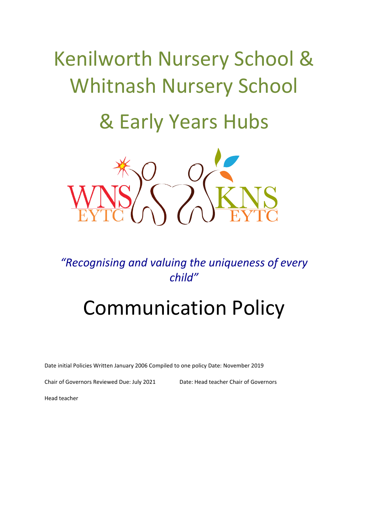# Kenilworth Nursery School & Whitnash Nursery School

## & Early Years Hubs



### *"Recognising and valuing the uniqueness of every child"*

## Communication Policy

Date initial Policies Written January 2006 Compiled to one policy Date: November 2019

Chair of Governors Reviewed Due: July 2021 Date: Head teacher Chair of Governors

Head teacher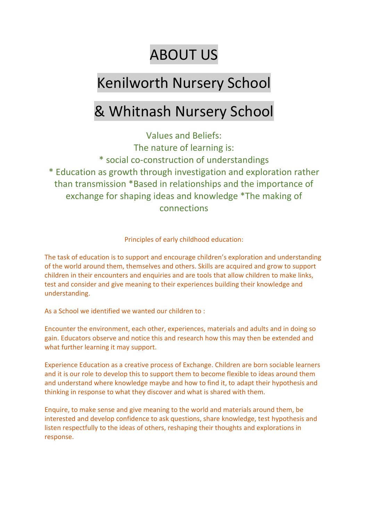## ABOUT US

## Kenilworth Nursery School

## & Whitnash Nursery School

Values and Beliefs: The nature of learning is: \* social co-construction of understandings \* Education as growth through investigation and exploration rather than transmission \*Based in relationships and the importance of exchange for shaping ideas and knowledge \*The making of connections

Principles of early childhood education:

The task of education is to support and encourage children's exploration and understanding of the world around them, themselves and others. Skills are acquired and grow to support children in their encounters and enquiries and are tools that allow children to make links, test and consider and give meaning to their experiences building their knowledge and understanding.

As a School we identified we wanted our children to :

Encounter the environment, each other, experiences, materials and adults and in doing so gain. Educators observe and notice this and research how this may then be extended and what further learning it may support.

Experience Education as a creative process of Exchange. Children are born sociable learners and it is our role to develop this to support them to become flexible to ideas around them and understand where knowledge maybe and how to find it, to adapt their hypothesis and thinking in response to what they discover and what is shared with them.

Enquire, to make sense and give meaning to the world and materials around them, be interested and develop confidence to ask questions, share knowledge, test hypothesis and listen respectfully to the ideas of others, reshaping their thoughts and explorations in response.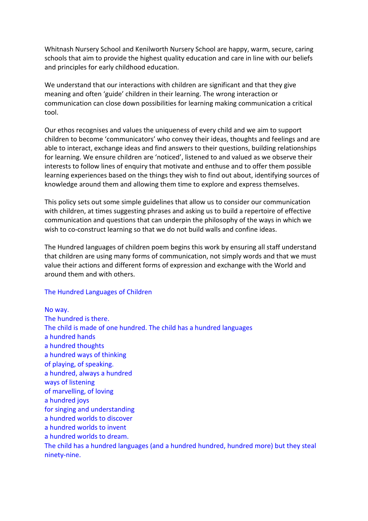Whitnash Nursery School and Kenilworth Nursery School are happy, warm, secure, caring schools that aim to provide the highest quality education and care in line with our beliefs and principles for early childhood education.

We understand that our interactions with children are significant and that they give meaning and often 'guide' children in their learning. The wrong interaction or communication can close down possibilities for learning making communication a critical tool.

Our ethos recognises and values the uniqueness of every child and we aim to support children to become 'communicators' who convey their ideas, thoughts and feelings and are able to interact, exchange ideas and find answers to their questions, building relationships for learning. We ensure children are 'noticed', listened to and valued as we observe their interests to follow lines of enquiry that motivate and enthuse and to offer them possible learning experiences based on the things they wish to find out about, identifying sources of knowledge around them and allowing them time to explore and express themselves.

This policy sets out some simple guidelines that allow us to consider our communication with children, at times suggesting phrases and asking us to build a repertoire of effective communication and questions that can underpin the philosophy of the ways in which we wish to co-construct learning so that we do not build walls and confine ideas.

The Hundred languages of children poem begins this work by ensuring all staff understand that children are using many forms of communication, not simply words and that we must value their actions and different forms of expression and exchange with the World and around them and with others.

#### The Hundred Languages of Children

No way. The hundred is there. The child is made of one hundred. The child has a hundred languages a hundred hands a hundred thoughts a hundred ways of thinking of playing, of speaking. a hundred, always a hundred ways of listening of marvelling, of loving a hundred joys for singing and understanding a hundred worlds to discover a hundred worlds to invent a hundred worlds to dream. The child has a hundred languages (and a hundred hundred, hundred more) but they steal ninety-nine.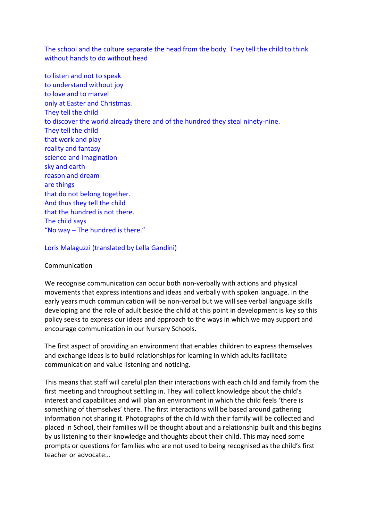The school and the culture separate the head from the body. They tell the child to think without hands to do without head

to listen and not to speak to understand without joy to love and to marvel only at Easter and Christmas. They tell the child to discover the world already there and of the hundred they steal ninety-nine. They tell the child that work and play reality and fantasy science and imagination sky and earth reason and dream are things that do not belong together. And thus they tell the child that the hundred is not there. The child says "No way – The hundred is there."

#### Loris Malaguzzi (translated by Lella Gandini)

#### Communication

We recognise communication can occur both non-verbally with actions and physical movements that express intentions and ideas and verbally with spoken language. In the early years much communication will be non-verbal but we will see verbal language skills developing and the role of adult beside the child at this point in development is key so this policy seeks to express our ideas and approach to the ways in which we may support and encourage communication in our Nursery Schools.

The first aspect of providing an environment that enables children to express themselves and exchange ideas is to build relationships for learning in which adults facilitate communication and value listening and noticing.

This means that staff will careful plan their interactions with each child and family from the first meeting and throughout settling in. They will collect knowledge about the child's interest and capabilities and will plan an environment in which the child feels 'there is something of themselves' there. The first interactions will be based around gathering information not sharing it. Photographs of the child with their family will be collected and placed in School, their families will be thought about and a relationship built and this begins by us listening to their knowledge and thoughts about their child. This may need some prompts or questions for families who are not used to being recognised as the child's first teacher or advocate...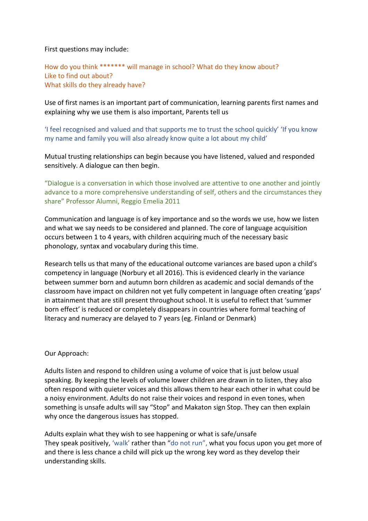First questions may include:

How do you think \*\*\*\*\*\*\* will manage in school? What do they know about? Like to find out about? What skills do they already have?

Use of first names is an important part of communication, learning parents first names and explaining why we use them is also important, Parents tell us

'I feel recognised and valued and that supports me to trust the school quickly' 'If you know my name and family you will also already know quite a lot about my child'

Mutual trusting relationships can begin because you have listened, valued and responded sensitively. A dialogue can then begin.

"Dialogue is a conversation in which those involved are attentive to one another and jointly advance to a more comprehensive understanding of self, others and the circumstances they share" Professor Alumni, Reggio Emelia 2011

Communication and language is of key importance and so the words we use, how we listen and what we say needs to be considered and planned. The core of language acquisition occurs between 1 to 4 years, with children acquiring much of the necessary basic phonology, syntax and vocabulary during this time.

Research tells us that many of the educational outcome variances are based upon a child's competency in language (Norbury et all 2016). This is evidenced clearly in the variance between summer born and autumn born children as academic and social demands of the classroom have impact on children not yet fully competent in language often creating 'gaps' in attainment that are still present throughout school. It is useful to reflect that 'summer born effect' is reduced or completely disappears in countries where formal teaching of literacy and numeracy are delayed to 7 years (eg. Finland or Denmark)

Our Approach:

Adults listen and respond to children using a volume of voice that is just below usual speaking. By keeping the levels of volume lower children are drawn in to listen, they also often respond with quieter voices and this allows them to hear each other in what could be a noisy environment. Adults do not raise their voices and respond in even tones, when something is unsafe adults will say "Stop" and Makaton sign Stop. They can then explain why once the dangerous issues has stopped.

Adults explain what they wish to see happening or what is safe/unsafe They speak positively, 'walk' rather than "do not run", what you focus upon you get more of and there is less chance a child will pick up the wrong key word as they develop their understanding skills.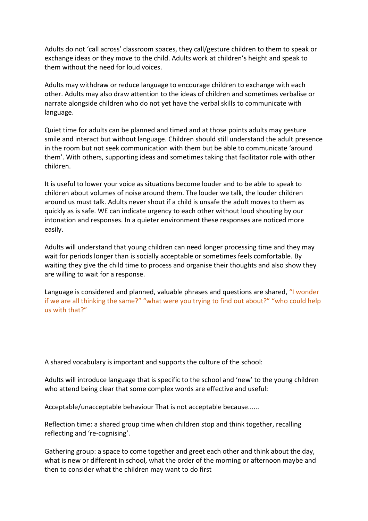Adults do not 'call across' classroom spaces, they call/gesture children to them to speak or exchange ideas or they move to the child. Adults work at children's height and speak to them without the need for loud voices.

Adults may withdraw or reduce language to encourage children to exchange with each other. Adults may also draw attention to the ideas of children and sometimes verbalise or narrate alongside children who do not yet have the verbal skills to communicate with language.

Quiet time for adults can be planned and timed and at those points adults may gesture smile and interact but without language. Children should still understand the adult presence in the room but not seek communication with them but be able to communicate 'around them'. With others, supporting ideas and sometimes taking that facilitator role with other children.

It is useful to lower your voice as situations become louder and to be able to speak to children about volumes of noise around them. The louder we talk, the louder children around us must talk. Adults never shout if a child is unsafe the adult moves to them as quickly as is safe. WE can indicate urgency to each other without loud shouting by our intonation and responses. In a quieter environment these responses are noticed more easily.

Adults will understand that young children can need longer processing time and they may wait for periods longer than is socially acceptable or sometimes feels comfortable. By waiting they give the child time to process and organise their thoughts and also show they are willing to wait for a response.

Language is considered and planned, valuable phrases and questions are shared, "I wonder if we are all thinking the same?" "what were you trying to find out about?" "who could help us with that?"

A shared vocabulary is important and supports the culture of the school:

Adults will introduce language that is specific to the school and 'new' to the young children who attend being clear that some complex words are effective and useful:

Acceptable/unacceptable behaviour That is not acceptable because......

Reflection time: a shared group time when children stop and think together, recalling reflecting and 're-cognising'.

Gathering group: a space to come together and greet each other and think about the day, what is new or different in school, what the order of the morning or afternoon maybe and then to consider what the children may want to do first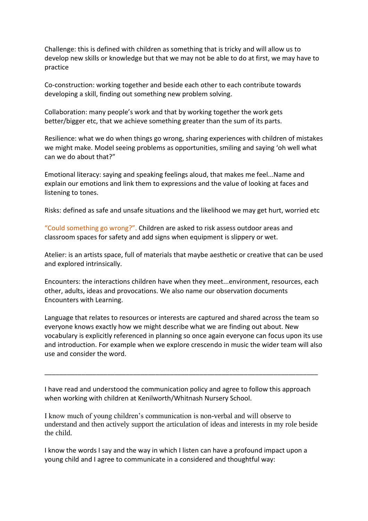Challenge: this is defined with children as something that is tricky and will allow us to develop new skills or knowledge but that we may not be able to do at first, we may have to practice

Co-construction: working together and beside each other to each contribute towards developing a skill, finding out something new problem solving.

Collaboration: many people's work and that by working together the work gets better/bigger etc, that we achieve something greater than the sum of its parts.

Resilience: what we do when things go wrong, sharing experiences with children of mistakes we might make. Model seeing problems as opportunities, smiling and saying 'oh well what can we do about that?"

Emotional literacy: saying and speaking feelings aloud, that makes me feel...Name and explain our emotions and link them to expressions and the value of looking at faces and listening to tones.

Risks: defined as safe and unsafe situations and the likelihood we may get hurt, worried etc

"Could something go wrong?". Children are asked to risk assess outdoor areas and classroom spaces for safety and add signs when equipment is slippery or wet.

Atelier: is an artists space, full of materials that maybe aesthetic or creative that can be used and explored intrinsically.

Encounters: the interactions children have when they meet...environment, resources, each other, adults, ideas and provocations. We also name our observation documents Encounters with Learning.

Language that relates to resources or interests are captured and shared across the team so everyone knows exactly how we might describe what we are finding out about. New vocabulary is explicitly referenced in planning so once again everyone can focus upon its use and introduction. For example when we explore crescendo in music the wider team will also use and consider the word.

I have read and understood the communication policy and agree to follow this approach when working with children at Kenilworth/Whitnash Nursery School.

\_\_\_\_\_\_\_\_\_\_\_\_\_\_\_\_\_\_\_\_\_\_\_\_\_\_\_\_\_\_\_\_\_\_\_\_\_\_\_\_\_\_\_\_\_\_\_\_\_\_\_\_\_\_\_\_\_\_\_\_\_\_\_\_\_\_\_\_\_\_\_\_\_\_

I know much of young children's communication is non-verbal and will observe to understand and then actively support the articulation of ideas and interests in my role beside the child.

I know the words I say and the way in which I listen can have a profound impact upon a young child and I agree to communicate in a considered and thoughtful way: